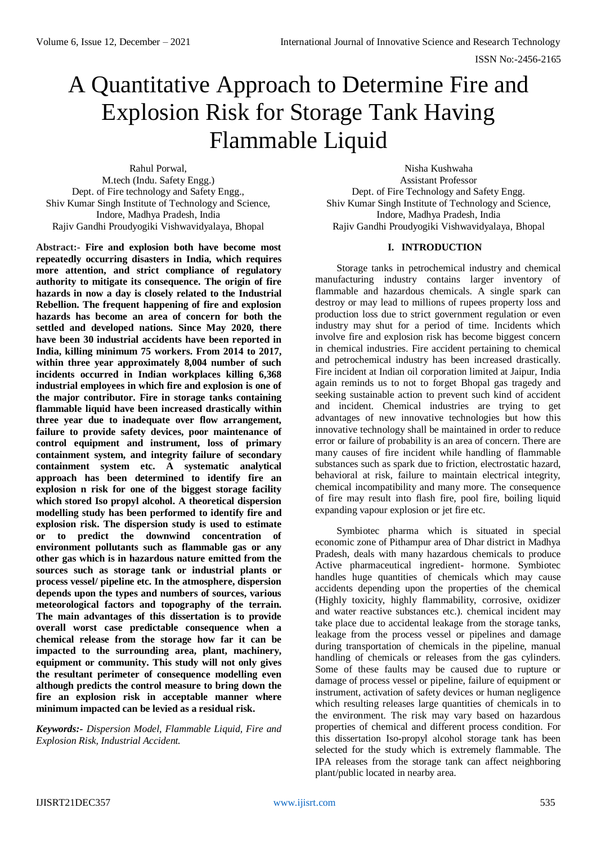# A Quantitative Approach to Determine Fire and Explosion Risk for Storage Tank Having Flammable Liquid

Rahul Porwal, M.tech (Indu. Safety Engg.) Dept. of Fire technology and Safety Engg., Shiv Kumar Singh Institute of Technology and Science, Indore, Madhya Pradesh, India Rajiv Gandhi Proudyogiki Vishwavidyalaya, Bhopal

**Abstract:- Fire and explosion both have become most repeatedly occurring disasters in India, which requires more attention, and strict compliance of regulatory authority to mitigate its consequence. The origin of fire hazards in now a day is closely related to the Industrial Rebellion. The frequent happening of fire and explosion hazards has become an area of concern for both the settled and developed nations. Since May 2020, there have been 30 industrial accidents have been reported in India, killing minimum 75 workers. From 2014 to 2017, within three year approximately 8,004 number of such incidents occurred in Indian workplaces killing 6,368 industrial employees in which fire and explosion is one of the major contributor. Fire in storage tanks containing flammable liquid have been increased drastically within three year due to inadequate over flow arrangement, failure to provide safety devices, poor maintenance of control equipment and instrument, loss of primary containment system, and integrity failure of secondary containment system etc. A systematic analytical approach has been determined to identify fire an explosion n risk for one of the biggest storage facility which stored Iso propyl alcohol. A theoretical dispersion modelling study has been performed to identify fire and explosion risk. The dispersion study is used to estimate or to predict the downwind concentration of environment pollutants such as flammable gas or any other gas which is in hazardous nature emitted from the sources such as storage tank or industrial plants or process vessel/ pipeline etc. In the atmosphere, dispersion depends upon the types and numbers of sources, various meteorological factors and topography of the terrain. The main advantages of this dissertation is to provide overall worst case predictable consequence when a chemical release from the storage how far it can be impacted to the surrounding area, plant, machinery, equipment or community. This study will not only gives the resultant perimeter of consequence modelling even although predicts the control measure to bring down the fire an explosion risk in acceptable manner where minimum impacted can be levied as a residual risk.**

*Keywords:- Dispersion Model, Flammable Liquid, Fire and Explosion Risk, Industrial Accident.*

Nisha Kushwaha Assistant Professor Dept. of Fire Technology and Safety Engg. Shiv Kumar Singh Institute of Technology and Science, Indore, Madhya Pradesh, India Rajiv Gandhi Proudyogiki Vishwavidyalaya, Bhopal

## **I. INTRODUCTION**

Storage tanks in petrochemical industry and chemical manufacturing industry contains larger inventory of flammable and hazardous chemicals. A single spark can destroy or may lead to millions of rupees property loss and production loss due to strict government regulation or even industry may shut for a period of time. Incidents which involve fire and explosion risk has become biggest concern in chemical industries. Fire accident pertaining to chemical and petrochemical industry has been increased drastically. Fire incident at Indian oil corporation limited at Jaipur, India again reminds us to not to forget Bhopal gas tragedy and seeking sustainable action to prevent such kind of accident and incident. Chemical industries are trying to get advantages of new innovative technologies but how this innovative technology shall be maintained in order to reduce error or failure of probability is an area of concern. There are many causes of fire incident while handling of flammable substances such as spark due to friction, electrostatic hazard, behavioral at risk, failure to maintain electrical integrity, chemical incompatibility and many more. The consequence of fire may result into flash fire, pool fire, boiling liquid expanding vapour explosion or jet fire etc.

Symbiotec pharma which is situated in special economic zone of Pithampur area of Dhar district in Madhya Pradesh, deals with many hazardous chemicals to produce Active pharmaceutical ingredient- hormone. Symbiotec handles huge quantities of chemicals which may cause accidents depending upon the properties of the chemical (Highly toxicity, highly flammability, corrosive, oxidizer and water reactive substances etc.). chemical incident may take place due to accidental leakage from the storage tanks, leakage from the process vessel or pipelines and damage during transportation of chemicals in the pipeline, manual handling of chemicals or releases from the gas cylinders. Some of these faults may be caused due to rupture or damage of process vessel or pipeline, failure of equipment or instrument, activation of safety devices or human negligence which resulting releases large quantities of chemicals in to the environment. The risk may vary based on hazardous properties of chemical and different process condition. For this dissertation Iso-propyl alcohol storage tank has been selected for the study which is extremely flammable. The IPA releases from the storage tank can affect neighboring plant/public located in nearby area.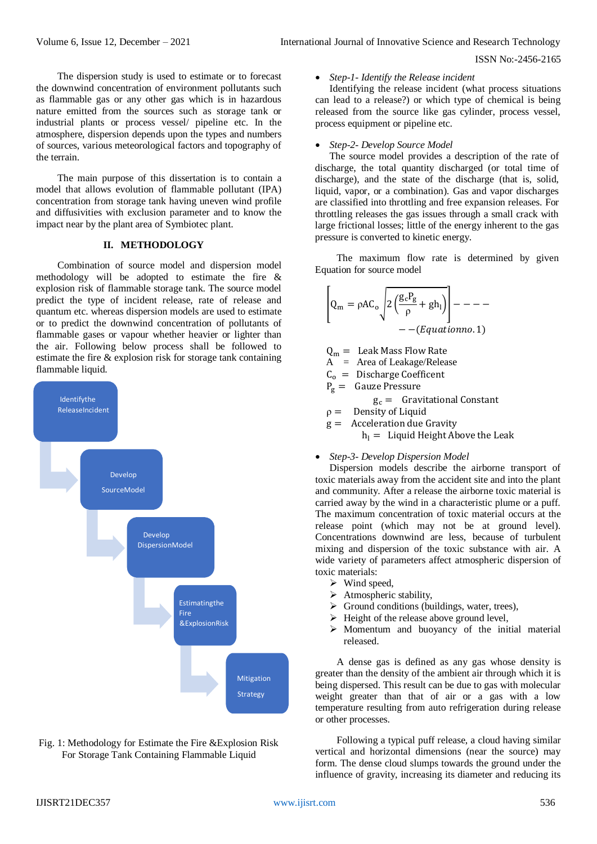The dispersion study is used to estimate or to forecast the downwind concentration of environment pollutants such as flammable gas or any other gas which is in hazardous nature emitted from the sources such as storage tank or industrial plants or process vessel/ pipeline etc. In the atmosphere, dispersion depends upon the types and numbers of sources, various meteorological factors and topography of the terrain.

The main purpose of this dissertation is to contain a model that allows evolution of flammable pollutant (IPA) concentration from storage tank having uneven wind profile and diffusivities with exclusion parameter and to know the impact near by the plant area of Symbiotec plant.

### **II. METHODOLOGY**

Combination of source model and dispersion model methodology will be adopted to estimate the fire & explosion risk of flammable storage tank. The source model predict the type of incident release, rate of release and quantum etc. whereas dispersion models are used to estimate or to predict the downwind concentration of pollutants of flammable gases or vapour whether heavier or lighter than the air. Following below process shall be followed to estimate the fire & explosion risk for storage tank containing flammable liquid.



Fig. 1: Methodology for Estimate the Fire &Explosion Risk For Storage Tank Containing Flammable Liquid

#### *Step-1- Identify the Release incident*

Identifying the release incident (what process situations can lead to a release?) or which type of chemical is being released from the source like gas cylinder, process vessel, process equipment or pipeline etc.

#### *Step-2- Develop Source Model*

The source model provides a description of the rate of discharge, the total quantity discharged (or total time of discharge), and the state of the discharge (that is, solid, liquid, vapor, or a combination). Gas and vapor discharges are classified into throttling and free expansion releases. For throttling releases the gas issues through a small crack with large frictional losses; little of the energy inherent to the gas pressure is converted to kinetic energy.

The maximum flow rate is determined by given Equation for source model

$$
\left[Q_{\rm m} = \rho A C_{\rm o} \sqrt{2 \left(\frac{g_c P_g}{\rho} + gh_1\right)}\right] - \dots - \left(\frac{g_c}{\rho}\right)
$$
  
- - (*Equationno*. 1)

 $Q_m =$  Leak Mass Flow Rate

- A = Area of Leakage/Release
- $C<sub>o</sub>$  = Discharge Coefficent
- $P_g =$  Gauze Pressure
	- $g_c =$  Gravitational Constant
- $\rho =$  Density of Liquid
- $g =$  Acceleration due Gravity

 $h_1 =$  Liquid Height Above the Leak

## *Step-3- Develop Dispersion Model*

Dispersion models describe the airborne transport of toxic materials away from the accident site and into the plant and community. After a release the airborne toxic material is carried away by the wind in a characteristic plume or a puff. The maximum concentration of toxic material occurs at the release point (which may not be at ground level). Concentrations downwind are less, because of turbulent mixing and dispersion of the toxic substance with air. A wide variety of parameters affect atmospheric dispersion of toxic materials:

- $\triangleright$  Wind speed,
- > Atmospheric stability,
- $\triangleright$  Ground conditions (buildings, water, trees),
- $\triangleright$  Height of the release above ground level,
- $\triangleright$  Momentum and buoyancy of the initial material released.

A dense gas is defined as any gas whose density is greater than the density of the ambient air through which it is being dispersed. This result can be due to gas with molecular weight greater than that of air or a gas with a low temperature resulting from auto refrigeration during release or other processes.

Following a typical puff release, a cloud having similar vertical and horizontal dimensions (near the source) may form. The dense cloud slumps towards the ground under the influence of gravity, increasing its diameter and reducing its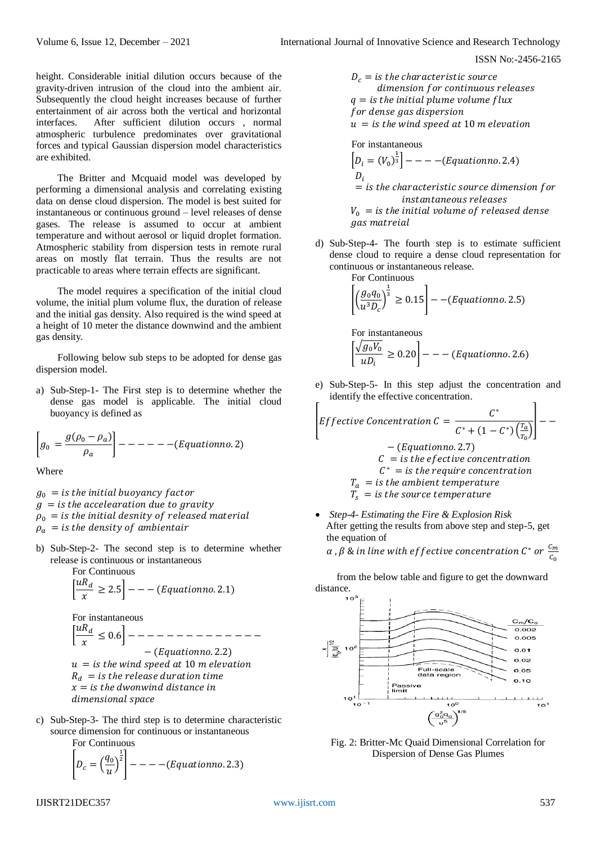height. Considerable initial dilution occurs because of the gravity-driven intrusion of the cloud into the ambient air. Subsequently the cloud height increases because of further entertainment of air across both the vertical and horizontal interfaces. After sufficient dilution occurs , normal atmospheric turbulence predominates over gravitational forces and typical Gaussian dispersion model characteristics are exhibited.

The Britter and Mcquaid model was developed by performing a dimensional analysis and correlating existing data on dense cloud dispersion. The model is best suited for instantaneous or continuous ground – level releases of dense gases. The release is assumed to occur at ambient temperature and without aerosol or liquid droplet formation. Atmospheric stability from dispersion tests in remote rural areas on mostly flat terrain. Thus the results are not practicable to areas where terrain effects are significant.

The model requires a specification of the initial cloud volume, the initial plum volume flux, the duration of release and the initial gas density. Also required is the wind speed at a height of 10 meter the distance downwind and the ambient gas density.

Following below sub steps to be adopted for dense gas dispersion model.

a) Sub-Step-1- The First step is to determine whether the dense gas model is applicable. The initial cloud buoyancy is defined as

$$
\left[g_0 = \frac{g(\rho_0 - \rho_a)}{\rho_a}\right] - - - - - - - (Equation no. 2)
$$

Where

- $g_0 =$  *is the initial buoyancy factor*  $g =$  *is the accelearation due to gravity*  $\rho_0 = i s$  the initial desnity of released material  $\rho_a$  = is the density of ambientair
- b) Sub-Step-2- The second step is to determine whether release is continuous or instantaneous

For Continuous  

$$
\left[\frac{uR_d}{x} \ge 2.5\right] - - (Equationno. 2.1)
$$

For instantaneous  $\left[\frac{uR_d}{\frac{uR_d}{\sqrt{u}}}\right]$  $\frac{d}{x} \leq 0.6$ ] – – – – – – – – – – – – – –  $-(Equationno. 2.2)$  $u = i s$  the wind speed at 10 m elevation  $R_d$  = is the release duration time  $x =$  *is the dwonwind distance in* dimensional space

c) Sub-Step-3- The third step is to determine characteristic source dimension for continuous or instantaneous

For Continuous

$$
\left[D_c = \left(\frac{q_0}{u}\right)^{\frac{1}{2}}\right] - - - (-Equationno. 2.3)
$$

 $D_c =$  *is the characteristic source* dimension for continuous releases  $q = i s$  the initial plume volume flux for dense gas dispersion  $u = i s$  *the wind speed at 10 m elevation* 

For instantaneous  
\n
$$
[D_i = (V_0)^{\frac{1}{3}}] --- (Equation no. 2.4)
$$
\n
$$
D_i
$$
\n= is the characteristic source dimension for instantaneous releases  
\n
$$
V_0 = is the initial volume of released dense gas material
$$

d) Sub-Step-4- The fourth step is to estimate sufficient dense cloud to require a dense cloud representation for continuous or instantaneous release. For Continuous

For continuous  

$$
\left[ \left( \frac{g_0 q_0}{u^3 D_c} \right)^{\frac{1}{3}} \ge 0.15 \right] - (Equationno. 2.5)
$$

For instantaneous  $\sqrt{\frac{g_0 V_0}{R}}$  $\left[\frac{\partial u}{\partial u}\right]^{0.0} \geq 0.20$   $\left[- -\frac{Equationno.2.6}{2}\right]$ 

e) Sub-Step-5- In this step adjust the concentration and identify the effective concentration.

*Effective Concentration* 
$$
C = \frac{C^*}{C^* + (1 - C^*)\left(\frac{T_a}{T_0}\right)} -
$$
  
\n $- (Equationno. 2.7)$   
\n $C =$  is the effective concentration  
\n $C^* =$  is the require concentration  
\n $T_a =$  is the ambient temperature  
\n $T_s =$  is the source temperature

 *Step-4- Estimating the Fire & Explosion Risk* After getting the results from above step and step-5, get the equation of  $\mathcal{C}_{\infty}$ 

$$
\alpha
$$
 ,  $\beta$  & in line with effective concentration  $\mathcal{C}^*$  or  $\frac{\mathfrak{c}_m}{\mathfrak{c}_0}$ 

from the below table and figure to get the downward distance.



Fig. 2: Britter-Mc Quaid Dimensional Correlation for Dispersion of Dense Gas Plumes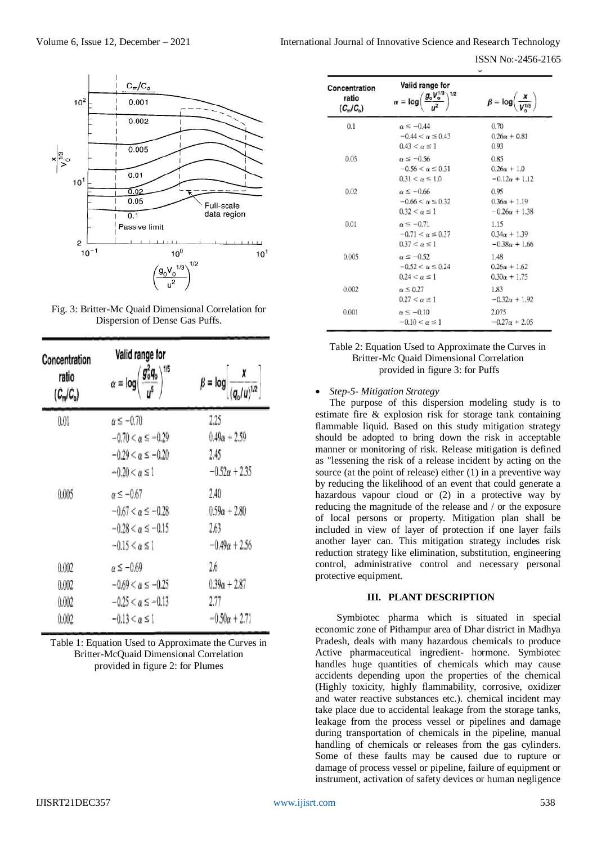ISSN No:-2456-2165



Fig. 3: Britter-Mc Quaid Dimensional Correlation for Dispersion of Dense Gas Puffs.

| Concentration<br>ratio<br>$(C_n/C_o)$ | Valid range for<br>$\alpha = \log \left( \frac{g_0^2 q_0}{\epsilon} \right)^{1/5}$                          | $\beta = \log \left  \frac{x}{(a/\mu)^{1/2}} \right $       |
|---------------------------------------|-------------------------------------------------------------------------------------------------------------|-------------------------------------------------------------|
| 0.01                                  | $\alpha \le -0.70$<br>$-0.70 < \alpha \le -0.29$<br>$-0.29 < \alpha \le -0.20$<br>$-0.20 < \alpha \leq 1$   | 2.25<br>$0.49\alpha + 2.59$<br>2.45<br>$-0.52\alpha + 2.35$ |
| 0.005                                 | $\alpha \leq -0.67$<br>$-0.67 < \alpha \leq -0.28$<br>$-0.28 < \alpha \le -0.15$<br>$-0.15 < \alpha \leq 1$ | 2.40<br>$0.59\alpha + 2.80$<br>2.63<br>$-0.49\alpha + 2.56$ |
| 0.002<br>0.002<br>0.002<br>0.002      | $\alpha \leq -0.69$<br>$-0.69 < \alpha \le -0.25$<br>$-0.25 < \alpha \le -0.13$<br>$-0.13 < \alpha \leq 1$  | 2.6<br>$0.39\alpha + 2.87$<br>2.77<br>$-0.50\alpha + 2.71$  |

| Table 1: Equation Used to Approximate the Curves in |
|-----------------------------------------------------|
| Britter-McQuaid Dimensional Correlation             |
| provided in figure 2: for Plumes                    |

| Concentration<br>ratio<br>$(C_m/C_o)$ | Valid range for<br>1/2<br>$g_{\rm o}V_{\rm o}^{\rm 1/3}$<br>$\alpha = \log$  | $\beta = \log\left(\frac{x}{V^{1/3}}\right)$        |
|---------------------------------------|------------------------------------------------------------------------------|-----------------------------------------------------|
| 0.1                                   | $\alpha \leq -0.44$<br>$-0.44 < \alpha \leq 0.43$<br>$0.43 < \alpha \leq 1$  | 0.70<br>$0.26\alpha + 0.81$<br>0.93                 |
| 0.05                                  | $\alpha \leq -0.56$<br>$-0.56 < \alpha \le 0.31$<br>$0.31 < \alpha \leq 1.0$ | 0.85<br>$0.26\alpha + 1.0$<br>$-0.12\alpha + 1.12$  |
| 0.02                                  | $\alpha \leq -0.66$<br>$-0.66 < \alpha \leq 0.32$<br>$0.32 < \alpha \leq 1$  | 0.95<br>$0.36\alpha + 1.19$<br>$-0.26\alpha + 1.38$ |
| 0.01                                  | $\alpha \leq -0.71$<br>$-0.71 < \alpha \leq 0.37$<br>$0.37 < \alpha \leq 1$  | 1.15<br>$0.34\alpha + 1.39$<br>$-0.38\alpha + 1.66$ |
| 0.005                                 | $\alpha \leq -0.52$<br>$-0.52 < \alpha \le 0.24$<br>$0.24 < \alpha \leq 1$   | 1.48<br>$0.26\alpha + 1.62$<br>$0.30\alpha + 1.75$  |
| 0.002                                 | $\alpha \leq 0.27$<br>$0.27 < \alpha \leq 1$                                 | 1.83<br>$-0.32\alpha + 1.92$                        |
| 0.001                                 | $\alpha \leq -0.10$<br>$-0.10 < \alpha \leq 1$                               | 2.075<br>$-0.27\alpha + 2.05$                       |

## Table 2: Equation Used to Approximate the Curves in Britter-Mc Quaid Dimensional Correlation provided in figure 3: for Puffs

## *Step-5- Mitigation Strategy*

The purpose of this dispersion modeling study is to estimate fire & explosion risk for storage tank containing flammable liquid. Based on this study mitigation strategy should be adopted to bring down the risk in acceptable manner or monitoring of risk. Release mitigation is defined as "lessening the risk of a release incident by acting on the source (at the point of release) either (1) in a preventive way by reducing the likelihood of an event that could generate a hazardous vapour cloud or (2) in a protective way by reducing the magnitude of the release and / or the exposure of local persons or property. Mitigation plan shall be included in view of layer of protection if one layer fails another layer can. This mitigation strategy includes risk reduction strategy like elimination, substitution, engineering control, administrative control and necessary personal protective equipment.

### **III. PLANT DESCRIPTION**

Symbiotec pharma which is situated in special economic zone of Pithampur area of Dhar district in Madhya Pradesh, deals with many hazardous chemicals to produce Active pharmaceutical ingredient- hormone. Symbiotec handles huge quantities of chemicals which may cause accidents depending upon the properties of the chemical (Highly toxicity, highly flammability, corrosive, oxidizer and water reactive substances etc.). chemical incident may take place due to accidental leakage from the storage tanks, leakage from the process vessel or pipelines and damage during transportation of chemicals in the pipeline, manual handling of chemicals or releases from the gas cylinders. Some of these faults may be caused due to rupture or damage of process vessel or pipeline, failure of equipment or instrument, activation of safety devices or human negligence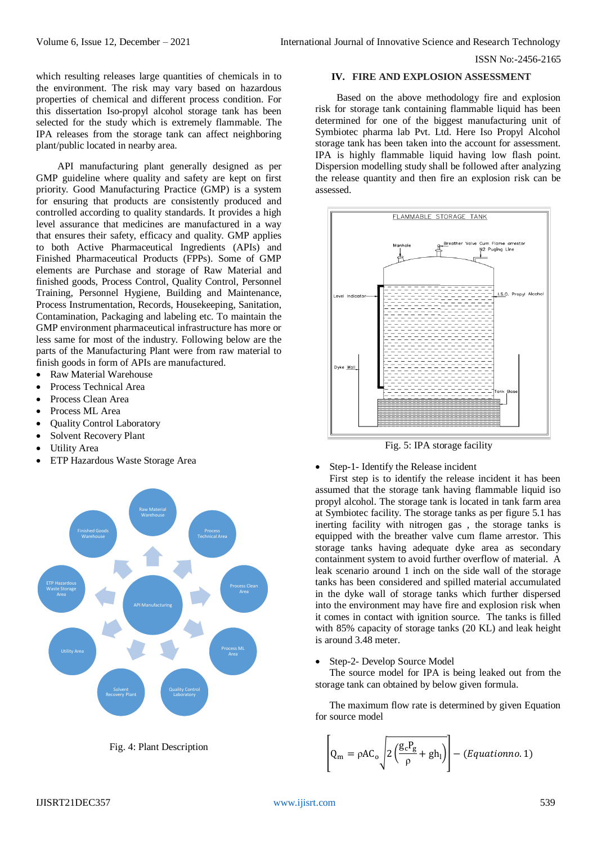which resulting releases large quantities of chemicals in to the environment. The risk may vary based on hazardous properties of chemical and different process condition. For this dissertation Iso-propyl alcohol storage tank has been selected for the study which is extremely flammable. The IPA releases from the storage tank can affect neighboring plant/public located in nearby area.

API manufacturing plant generally designed as per GMP guideline where quality and safety are kept on first priority. Good Manufacturing Practice (GMP) is a system for ensuring that products are consistently produced and controlled according to quality standards. It provides a high level assurance that medicines are manufactured in a way that ensures their safety, efficacy and quality. GMP applies to both Active Pharmaceutical Ingredients (APIs) and Finished Pharmaceutical Products (FPPs). Some of GMP elements are Purchase and storage of Raw Material and finished goods, Process Control, Quality Control, Personnel Training, Personnel Hygiene, Building and Maintenance, Process Instrumentation, Records, Housekeeping, Sanitation, Contamination, Packaging and labeling etc. To maintain the GMP environment pharmaceutical infrastructure has more or less same for most of the industry. Following below are the parts of the Manufacturing Plant were from raw material to finish goods in form of APIs are manufactured.

- Raw Material Warehouse
- Process Technical Area
- Process Clean Area
- Process ML Area
- Quality Control Laboratory
- Solvent Recovery Plant
- Utility Area
- ETP Hazardous Waste Storage Area



Fig. 4: Plant Description

#### **IV. FIRE AND EXPLOSION ASSESSMENT**

Based on the above methodology fire and explosion risk for storage tank containing flammable liquid has been determined for one of the biggest manufacturing unit of Symbiotec pharma lab Pvt. Ltd. Here Iso Propyl Alcohol storage tank has been taken into the account for assessment. IPA is highly flammable liquid having low flash point. Dispersion modelling study shall be followed after analyzing the release quantity and then fire an explosion risk can be assessed.



Fig. 5: IPA storage facility

#### • Step-1- Identify the Release incident

First step is to identify the release incident it has been assumed that the storage tank having flammable liquid iso propyl alcohol. The storage tank is located in tank farm area at Symbiotec facility. The storage tanks as per figure 5.1 has inerting facility with nitrogen gas , the storage tanks is equipped with the breather valve cum flame arrestor. This storage tanks having adequate dyke area as secondary containment system to avoid further overflow of material. A leak scenario around 1 inch on the side wall of the storage tanks has been considered and spilled material accumulated in the dyke wall of storage tanks which further dispersed into the environment may have fire and explosion risk when it comes in contact with ignition source. The tanks is filled with 85% capacity of storage tanks (20 KL) and leak height is around 3.48 meter.

#### Step-2- Develop Source Model

The source model for IPA is being leaked out from the storage tank can obtained by below given formula.

The maximum flow rate is determined by given Equation for source model

$$
\left[Q_{\rm m} = \rho A C_{\rm o} \sqrt{2\left(\frac{g_c P_g}{\rho} + gh_1\right)}\right] - \left(Equationno. 1\right)
$$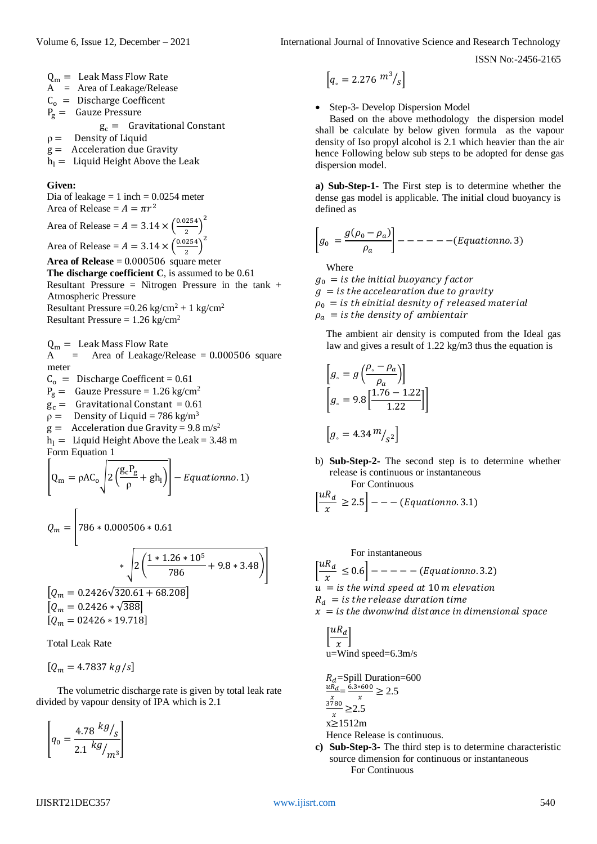$Q_m =$  Leak Mass Flow Rate A = Area of Leakage/Release  $C_0 =$  Discharge Coefficent

 $P_g =$  Gauze Pressure

$$
g_c
$$
 = Gravitational Constant

- $\rho =$  Density of Liquid
- $g =$  Acceleration due Gravity
- $h_1 =$  Liquid Height Above the Leak

#### **Given:**

Dia of leakage  $= 1$  inch  $= 0.0254$  meter Area of Release =  $A = \pi r^2$ Area of Release =  $A = 3.14 \times \frac{0.0254}{3}$  $\frac{1254}{2}$  $\big)^2$ Area of Release =  $A = 3.14 \times \frac{0.0254}{3}$  $\frac{1254}{2}$  $\big)^2$ **Area of Release** = 0.000506 square meter **The discharge coefficient C**, is assumed to be 0.61 Resultant Pressure = Nitrogen Pressure in the tank + Atmospheric Pressure

Resultant Pressure =  $0.26 \text{ kg/cm}^2 + 1 \text{ kg/cm}^2$ Resultant Pressure =  $1.26 \text{ kg/cm}^2$ 

 $Q_m =$  Leak Mass Flow Rate<br>A = Area of Leakage/F  $=$  Area of Leakage/Release  $= 0.000506$  square meter

 $C_0$  = Discharge Coefficent = 0.61

- $P_g =$  Gauze Pressure = 1.26 kg/cm<sup>2</sup>
- $g_c =$  Gravitational Constant = 0.61
- $\rho =$  Density of Liquid = 786 kg/m<sup>3</sup>
- $g =$  Acceleration due Gravity = 9.8 m/s<sup>2</sup>
- $h_1 =$  Liquid Height Above the Leak = 3.48 m Form Equation 1

$$
\left[Q_{\rm m} = \rho A C_{\rm o} \sqrt{2\left(\frac{g_{\rm c} P_{\rm g}}{\rho} + g h_{\rm l}\right)}\right] - Equationno.1)
$$

$$
Q_m = \left[ 786 * 0.000506 * 0.61
$$
  

$$
* \sqrt{2 \left( \frac{1 * 1.26 * 10^5}{786} + 9.8 * 3.48 \right)} \right]
$$
  

$$
\left[ Q_m = 0.2426 \sqrt{320.61 + 68.208} \right]
$$
  

$$
\left[ Q_m = 0.2426 * \sqrt{388} \right]
$$
  

$$
\left[ Q_m = 02426 * 19.718 \right]
$$

Total Leak Rate

 $\Gamma$ 

 $[Q_m = 4.7837 kg/s]$ 

The volumetric discharge rate is given by total leak rate divided by vapour density of IPA which is 2.1

$$
\left[q_0=\frac{4.78}{2.1}\frac{kg_{\Huge /}_S}{\,g_{\Huge /}_m3}\right]
$$

$$
\left[q_{\circ}=2.276\ \frac{m^3}{s}\right]
$$

• Step-3- Develop Dispersion Model

Based on the above methodology the dispersion model shall be calculate by below given formula as the vapour density of Iso propyl alcohol is 2.1 which heavier than the air hence Following below sub steps to be adopted for dense gas dispersion model.

**a) Sub-Step-1**- The First step is to determine whether the dense gas model is applicable. The initial cloud buoyancy is defined as

$$
\left[g_0 = \frac{g(\rho_0 - \rho_a)}{\rho_a}\right] - - - - - - - (Equation no. 3)
$$

Where

 $g_0 =$  *is the initial buoyancy factor*  $q =$  *is the accelearation due to gravity*  $\rho_0 = i s$  th einitial desnity of released material  $\rho_a$  = is the density of ambientair

The ambient air density is computed from the Ideal gas law and gives a result of 1.22 kg/m3 thus the equation is

$$
\[g_{\circ} = g \left(\frac{\rho_{\circ} - \rho_a}{\rho_a}\right)\]
$$

$$
\[g_{\circ} = 9.8 \left[\frac{1.76 - 1.22}{1.22}\right]\]
$$

$$
\[g_{\circ} = 4.34 m /_{S^2}\]
$$

b) **Sub-Step-2-** The second step is to determine whether release is continuous or instantaneous For Continuous

$$
\left[\frac{uR_d}{x} \ge 2.5\right] - - (- [Equationno.3.1)
$$

For instantaneous  $\left[\frac{uR_d}{\frac{uR_d}{\sqrt{u}}}\right]$  $\frac{d-a}{x} \leq 0.6 \big]$  – – – – – (Equationno. 3.2)  $u = i s$  *the wind speed at 10 m elevation*  $R_d$  = is the release duration time  $x =$  *is the dwonwind distance in dimensional space*  $F1/R$ .  $T$ 

$$
\left[\frac{2x}{x}\right]
$$
  
u=Wind speed=6.3m/s

$$
R_d = \text{Split} \text{Duration} = 600
$$
  

$$
\frac{uR_d}{x} = \frac{6.3 * 600}{x} \ge 2.5
$$
  

$$
\frac{3780}{x} \ge 2.5
$$
  
x≥1512m

Hence Release is continuous.

**c) Sub-Step-3-** The third step is to determine characteristic source dimension for continuous or instantaneous For Continuous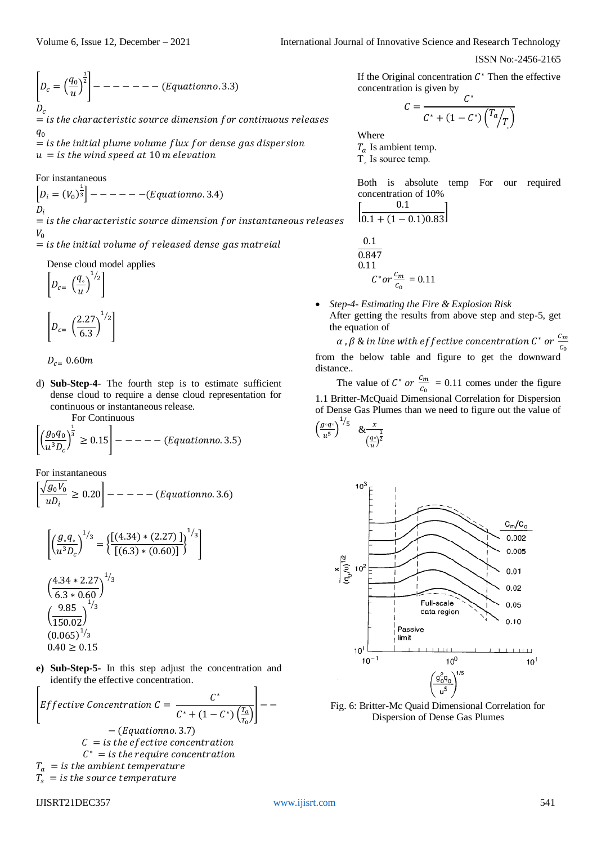$$
\left[D_c = \left(\frac{q_0}{u}\right)^{\frac{1}{2}}\right] - - - - - - - \quad (Equation no. 3.3)
$$

 $=$  *is the characteristic source dimension for continuous releases*  $q_{0}$ 

 $=$  *is the initial plume volume flux for dense gas dispersion*  $u = i s$  *the wind speed at 10 m elevation* 

For instantaneous

 $D_i = (V_0)^{\frac{1}{3}}$  $---(Equationno. 3.4)$  $D_i$  $=$  *is the characteristic source dimension for instantaneous releases*  $V_0$ 

 $=$  *is the initial volume of released dense gas matreial* 

Dense cloud model applies

$$
\left[D_{c=} \left(\frac{q_{\circ}}{u}\right)^{1/2}\right]
$$

$$
\left[D_{c} = \left(\frac{2.27}{6.3}\right)^{1/2}\right]
$$

 $D_{c=}$  0.60 $m$ 

d) **Sub-Step-4-** The fourth step is to estimate sufficient dense cloud to require a dense cloud representation for continuous or instantaneous release.

For Continuous

$$
\left[ \left( \frac{g_0 q_0}{u^3 D_c} \right)^{\frac{1}{3}} \ge 0.15 \right] - - - - - \left( Equationno. 3.5 \right)
$$

For instantaneous

$$
\left[\frac{\sqrt{g_0 V_0}}{u D_i} \ge 0.20\right] - - - - - (Equation no. 3.6)
$$

$$
\left[ \left( \frac{g_s q_s}{u^3 D_c} \right)^{1/3} = \left\{ \frac{\left[ (4.34) * (2.27) \right]}{\left[ (6.3) * (0.60) \right]} \right\}^{1/3} \right]
$$
  

$$
\left( \frac{4.34 * 2.27}{6.3 * 0.60} \right)^{1/3}
$$
  

$$
\left( \frac{9.85}{150.02} \right)^{1/3}
$$
  

$$
(0.065)^{1/3}
$$
  

$$
0.40 \ge 0.15
$$

**e) Sub-Step-5-** In this step adjust the concentration and identify the effective concentration.

[*Effective Concentration* 
$$
C = \frac{C^*}{C^* + (1 - C^*)\left(\frac{r_a}{r_0}\right)} \Bigg] -
$$

$$
- (Equation no. 3.7)
$$

$$
C = \text{is the effective concentration}
$$

$$
C^* = \text{is the require concentration}
$$

$$
T_a = \text{is the ambient temperature}
$$

 $T_s$  = is the source temperature

If the Original concentration  $C^*$  Then the effective concentration is given by

$$
C = \frac{C^*}{C^* + (1 - C^*)\left(\frac{T_a}{T}\right)}
$$

Where

 $T_a$  Is ambient temp.

 $\overline{T}$ <sub>s</sub> Is source temp.

Both is absolute temp For our required concentration of 10%  $^{\circ}$  1

$$
\left[\frac{0.1}{0.1 + (1 - 0.1)0.83}\right]
$$
  

$$
\frac{0.1}{0.847}
$$
  

$$
0.11
$$
  

$$
C^* or \frac{c_m}{c_0} = 0.11
$$

 *Step-4- Estimating the Fire & Explosion Risk* After getting the results from above step and step-5, get the equation of

α , β & in line with effective concentration C\* or  $\frac{c_m}{c_m}$  $c_{0}$ from the below table and figure to get the downward distance..

The value of  $C^*$  or  $\frac{c_m}{c_m}$  $\frac{c_m}{c_0}$  = 0.11 comes under the figure 1.1 Britter-McQuaid Dimensional Correlation for Dispersion of Dense Gas Plumes than we need to figure out the value of

$$
\left(\frac{g \circ q \circ}{u^5}\right)^{1/5} \& \frac{x}{\left(\frac{q \circ}{u}\right)^{\frac{1}{2}}}
$$



Fig. 6: Britter-Mc Quaid Dimensional Correlation for Dispersion of Dense Gas Plumes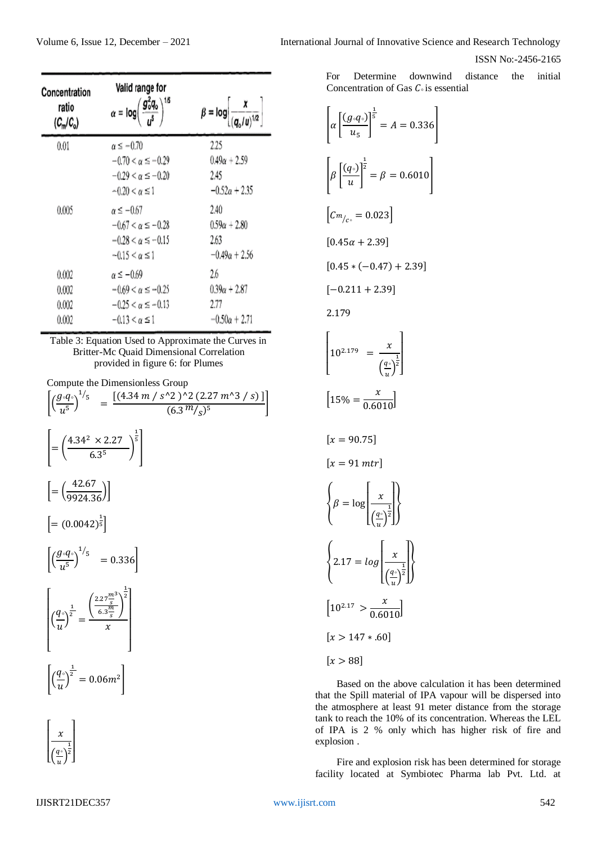| Concentration<br>ratio<br>$(C_n/C_o)$ | Valid range for<br>$\alpha = \log \left( \frac{g_0^2 q_0}{5} \right)^{1/5}$                                | $\beta = \log \left[ \frac{\lambda}{(q_o/u)^{1/2}} \right]$ |
|---------------------------------------|------------------------------------------------------------------------------------------------------------|-------------------------------------------------------------|
| 0.01                                  | $\alpha \leq -0.70$<br>$-0.70 < \alpha \le -0.29$<br>$-0.29 < \alpha \le -0.20$<br>$-0.20 < \alpha \leq 1$ | 2.25<br>$0.49\alpha + 2.59$<br>2.45<br>$-0.52\alpha + 2.35$ |
| 0.005                                 | $\alpha \leq -0.67$<br>$-0.67 < \alpha \le -0.28$<br>$-0.28 < \alpha \le -0.15$<br>$-0.15 < \alpha \le 1$  | 2.40<br>$0.59\alpha + 2.80$<br>2.63<br>$-0.49\alpha + 2.56$ |
| 0.002<br>0.002<br>0.002<br>0.002      | $\alpha \leq -0.69$<br>$-0.69 < \alpha \le -0.25$<br>$-0.25 < \alpha \le -0.13$<br>$-0.13 < \alpha \leq 1$ | 2.6<br>$0.39\alpha + 2.87$<br>2.77<br>$-0.50\alpha + 2.71$  |

Table 3: Equation Used to Approximate the Curves in Britter-Mc Quaid Dimensional Correlation provided in figure 6: for Plumes

Compute the Dimensionless Group  $\left[ \left( \frac{g_{\circ}q_{\circ}}{\epsilon} \right)$  $\frac{1}{u^5}$ <sup>1/</sup><sub>5</sub> =  $\frac{[(4.34 \, m / s^2)^2 (2.27 \, m^3 / s)]}{(6.3 \, m / s^5)}$  $\left[\frac{(6.3 \frac{m}{s})^5}{(6.3 \frac{m}{s})^5}\right]$  $=\left(\frac{4.34^2\times2.27}{6.25}\right)$  $\frac{1}{6.3^5}$  $\frac{1}{5}$  $\left[ = \left( \frac{42.67}{9924.36} \right) \right]$  $\left[ = (0.0042)^{\frac{1}{5}} \right]$  $\left[ \left( \frac{g_{\circ}q_{\circ}}{\epsilon} \right)$  $\frac{1}{u^5}$  $^{1/5}$  = 0.336  $\lfloor$ I I I I I  $\left(\frac{q}{q}\right)$  $\frac{u}{u}$  $\frac{1}{2}$  = (  $2.27 \frac{m}{s}$ 3  $6.3 \frac{m}{s}$ ) 1 2  $\mathcal{X}$  |  $\overline{\mathsf{I}}$ I I I ł  $\sqrt{q}$  $\frac{u}{u}$  $\frac{1}{2}$  = 0.06m<sup>2</sup>



Volume 6, Issue 12, December – 2021 International Journal of Innovative Science and Research Technology

ISSN No:-2456-2165

For Determine downwind distance the initial Concentration of Gas *C*<sup>o</sup> is essential

$$
\left[\alpha \left[\frac{(g \cdot q)}{u_5}\right]^{\frac{1}{5}} = A = 0.336\right]
$$
\n
$$
\left[\beta \left[\frac{(q \cdot)}{u}\right]^{\frac{1}{2}} = \beta = 0.6010\right]
$$
\n
$$
\left[C_{m/_{C^{\circ}}} = 0.023\right]
$$
\n
$$
[0.45\alpha + 2.39]
$$
\n
$$
[0.45 * (-0.47) + 2.39]
$$
\n
$$
[-0.211 + 2.39]
$$
\n
$$
2.179
$$
\n
$$
\left[10^{2.179} = \frac{x}{\left(\frac{q \cdot}{u}\right)^{\frac{1}{2}}}\right]
$$
\n
$$
\left[15\% = \frac{x}{0.6010}\right]
$$

$$
[x = 90.75]
$$
\n
$$
[x = 91 mtr]
$$
\n
$$
\begin{cases}\n\beta = \log \left[\frac{x}{\left(\frac{q\cdot}{u}\right)^{\frac{1}{2}}}\right] \\
\beta = \log \left[\frac{x}{\left(\frac{q\cdot}{u}\right)^{\frac{1}{2}}}\right]\n\end{cases}
$$
\n
$$
\begin{cases}\n2.17 = \log \left(\frac{x}{\left(\frac{q\cdot}{u}\right)^{\frac{1}{2}}}\right) \\
\left[10^{2.17} > \frac{x}{0.6010}\right] \\
\left[x > 147*.60\n\end{cases}
$$

Based on the above calculation it has been determined that the Spill material of IPA vapour will be dispersed into the atmosphere at least 91 meter distance from the storage tank to reach the 10% of its concentration. Whereas the LEL of IPA is 2 % only which has higher risk of fire and explosion .

Fire and explosion risk has been determined for storage facility located at Symbiotec Pharma lab Pvt. Ltd. at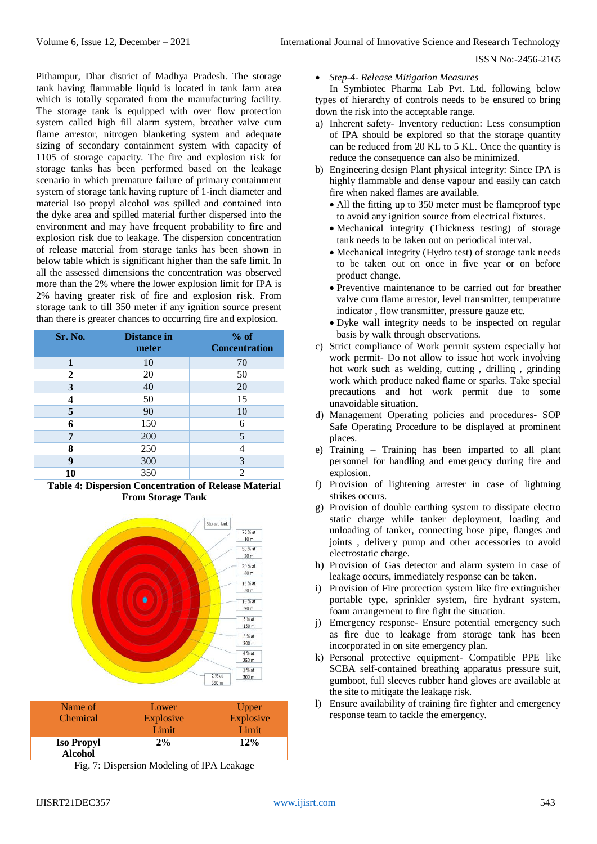Pithampur, Dhar district of Madhya Pradesh. The storage tank having flammable liquid is located in tank farm area which is totally separated from the manufacturing facility. The storage tank is equipped with over flow protection system called high fill alarm system, breather valve cum flame arrestor, nitrogen blanketing system and adequate sizing of secondary containment system with capacity of 1105 of storage capacity. The fire and explosion risk for storage tanks has been performed based on the leakage scenario in which premature failure of primary containment system of storage tank having rupture of 1-inch diameter and material Iso propyl alcohol was spilled and contained into the dyke area and spilled material further dispersed into the environment and may have frequent probability to fire and explosion risk due to leakage. The dispersion concentration of release material from storage tanks has been shown in below table which is significant higher than the safe limit. In all the assessed dimensions the concentration was observed more than the 2% where the lower explosion limit for IPA is 2% having greater risk of fire and explosion risk. From storage tank to till 350 meter if any ignition source present than there is greater chances to occurring fire and explosion.

| Sr. No. | <b>Distance</b> in<br>meter | % of<br><b>Concentration</b> |
|---------|-----------------------------|------------------------------|
| 1       | 10                          | 70                           |
| 2       | 20                          | 50                           |
| 3       | 40                          | 20                           |
| 4       | 50                          | 15                           |
| 5       | 90                          | 10                           |
| 6       | 150                         | 6                            |
| 7       | 200                         | 5                            |
| 8       | 250                         | 4                            |
| 9       | 300                         | 3                            |
| 10      | 350                         | $\overline{2}$               |

**Table 4: Dispersion Concentration of Release Material From Storage Tank**



| Name of           | Lower     | Upper     |
|-------------------|-----------|-----------|
| Chemical          | Explosive | Explosive |
|                   | Limit     | Limit     |
| <b>Iso Propyl</b> | 2%        | 12%       |
| <b>Alcohol</b>    |           |           |

Fig. 7: Dispersion Modeling of IPA Leakage

*Step-4- Release Mitigation Measures*

In Symbiotec Pharma Lab Pvt. Ltd. following below types of hierarchy of controls needs to be ensured to bring down the risk into the acceptable range.

- a) Inherent safety- Inventory reduction: Less consumption of IPA should be explored so that the storage quantity can be reduced from 20 KL to 5 KL. Once the quantity is reduce the consequence can also be minimized.
- b) Engineering design Plant physical integrity: Since IPA is highly flammable and dense vapour and easily can catch fire when naked flames are available.
	- All the fitting up to 350 meter must be flameproof type to avoid any ignition source from electrical fixtures.
	- Mechanical integrity (Thickness testing) of storage tank needs to be taken out on periodical interval.
	- Mechanical integrity (Hydro test) of storage tank needs to be taken out on once in five year or on before product change.
	- Preventive maintenance to be carried out for breather valve cum flame arrestor, level transmitter, temperature indicator , flow transmitter, pressure gauze etc.
	- Dyke wall integrity needs to be inspected on regular basis by walk through observations.
- c) Strict compliance of Work permit system especially hot work permit- Do not allow to issue hot work involving hot work such as welding, cutting , drilling , grinding work which produce naked flame or sparks. Take special precautions and hot work permit due to some unavoidable situation.
- d) Management Operating policies and procedures- SOP Safe Operating Procedure to be displayed at prominent places.
- e) Training Training has been imparted to all plant personnel for handling and emergency during fire and explosion.
- f) Provision of lightening arrester in case of lightning strikes occurs.
- g) Provision of double earthing system to dissipate electro static charge while tanker deployment, loading and unloading of tanker, connecting hose pipe, flanges and joints , delivery pump and other accessories to avoid electrostatic charge.
- h) Provision of Gas detector and alarm system in case of leakage occurs, immediately response can be taken.
- i) Provision of Fire protection system like fire extinguisher portable type, sprinkler system, fire hydrant system, foam arrangement to fire fight the situation.
- j) Emergency response- Ensure potential emergency such as fire due to leakage from storage tank has been incorporated in on site emergency plan.
- k) Personal protective equipment- Compatible PPE like SCBA self-contained breathing apparatus pressure suit, gumboot, full sleeves rubber hand gloves are available at the site to mitigate the leakage risk.
- l) Ensure availability of training fire fighter and emergency response team to tackle the emergency.